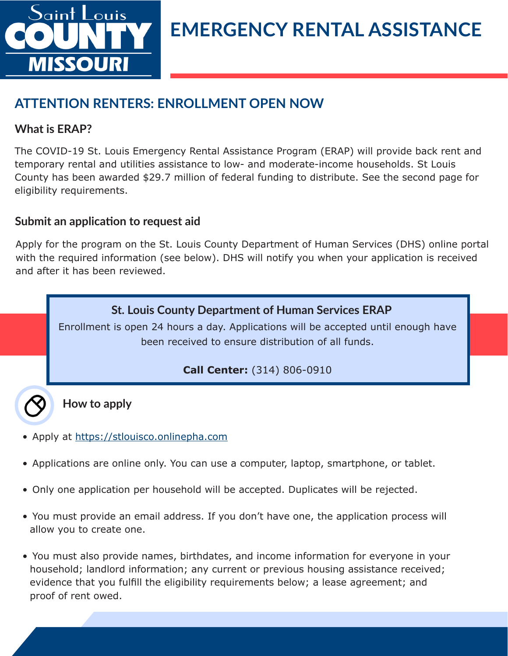

## **ATTENTION RENTERS: ENROLLMENT OPEN NOW**

## **What is ERAP?**

The COVID-19 St. Louis Emergency Rental Assistance Program (ERAP) will provide back rent and temporary rental and utilities assistance to low- and moderate-income households. St Louis County has been awarded \$29.7 million of federal funding to distribute. See the second page for eligibility requirements.

## **Submit an application to request aid**

Apply for the program on the St. Louis County Department of Human Services (DHS) online portal with the required information (see below). DHS will notify you when your application is received and after it has been reviewed.

## **St. Louis County Department of Human Services ERAP**

Enrollment is open 24 hours a day. Applications will be accepted until enough have been received to ensure distribution of all funds.

## **Call Center:** (314) 806-0910

**How to apply**

- Apply at https://stlouisco.onlinepha.com
- Applications are online only. You can use a computer, laptop, smartphone, or tablet.
- Only one application per household will be accepted. Duplicates will be rejected.
- You must provide an email address. If you don't have one, the application process will allow you to create one.
- You must also provide names, birthdates, and income information for everyone in your household; landlord information; any current or previous housing assistance received; evidence that you fulfill the eligibility requirements below; a lease agreement; and proof of rent owed.